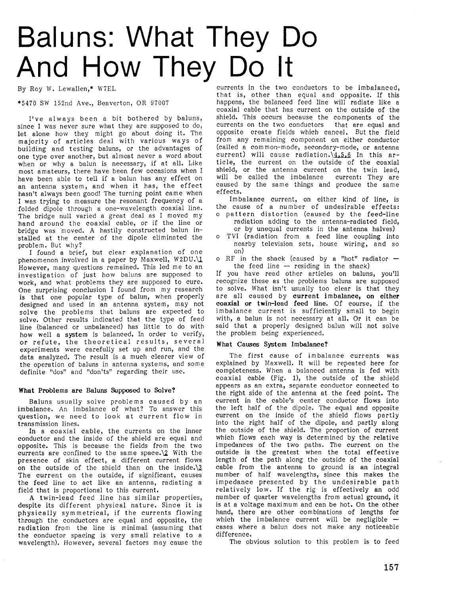# Baluns: What They Do And How They Do lt

By Roy W. Lewallen,\* W7EL

\*5470 SW 152nd Ave., Beaverton, OR 97007

I've always been a bit bothered by baluns, since I was never sure what they are supposed to do, let alone how they might go about doing it. The majority of articles deal with various ways of building and testing baluns, or the advantages of one type over another, but almost never a word about when or why a balun is necessary, if at all. Like most amateurs, there have been few occasions when I have been able to tell if a balun has any effect on an antenna system, and when it has, the effect hasn't always been good! The turning point came when I was trying to measure the resonant frequency of a folded dipole through a one-wavelength coaxial line. The bridge null varied a great deal as I moved my hand around the coaxial cable, or if the line or bridge was moved. A hastily eonstructed balun installed at the center of the dipole eliminated the problem. But why?

I found a brief, but clear explanation of one phenomenon involved in a paper by Maxwell,  $W2DU. \Upsilon$ However, many questions remained. This led me to an investigation of just how baluns are supposed to work, and what problems they are supposed to cure. One surprising conclusion I found from my research is that one popular type of balun, when properly designed and used in an antenna system, may not solve the problems that baluns are expected to solve. Other results indicated that the type of feed Iine (balanced or unbalanced) has little to do with how well a system is balanced. In order to verify, or refute, the theoretical results, several experiments were earefully set up and run, and the data analyzed. The result is a much elearer view of the operation of baluns in antenna systems, and some definite "dos" and "don'ts" regarding their use.

# What Problems are Baluns Supposed to Solve?

Baluns usually solve problems caused by an imbalance. An imbalance of what? To answer this question, we need to look at current flow in transmission lines.

In a coaxial cable, the currents on the inner conductor and the inside of the shield are equal and opposite. This is because the fields from the two eurrents are confined to the same spaee.\2 With the presence of skin effeet, a different current flows on the outside of the shield than on the inside. $\sqrt{3}$ The current on the outside, if significant, causes the feed Iine to act like an antenna, radiating a field that is proportional to this current.

A twin-iead feed line has similar properties, despite its different physical nature. Since it is physieally symmetrical, if the currents flowing through the conductors are equal and opposite, the radiation from the line is minimal (assuming that the conductor spacing is very small relative to a wavelength). However, several factors may cause the

eurrents in the two conductors to be imbalaneed, that is, other than equal and opposite. If this happens, the balanced feed line will radiate like a coaxial cable that has current on the outside of the shield. This occurs because the eomponents of the currents on the two conductors that are equal and opposite create fields whieh cancel. But the field from any remaining eomponent on either eonductor (cailed a eommon-mode, seeondary-mode, or antenna current) will cause radiation.\4.5.6 In this article, the current on the outside of the coaxial shield, or the antenna eurrent on the twin lead, will be called the imbalance current: They are caused by the same things and produce the same effeets.

Imbalanee eurrent, on either kind of line, is the cause of a number of undesirable effects: o pattern distortion (caused by the feed-line

- radiation adding to the antenna-radiated field, or by unequal currents in the antenna halves)
- TVI (radiation from a feed line coupling into nearby television sets, house wiring, and so on)
- o RF in the shack (caused by a "hot" radiator  $$ the feed line  $-$  residing in the shack)

If you have read other articles on baluns, you'll recognize these as the problems baluns are supposed to solve. What isn't usually too clear is that they are all caused by current imbalance, on either coaxial or twin-lead feed line. Of course, if the imbalance current is suffieiently small to begin with, a balun is not necessary at all. Or it ean be said that a properly designed balun will not solve the problem being experienced.

# What Causes System Imbalance?

The first cause of imbalance currents was explained by Maxwell. It will be repeated here for completeness. When a balanced antenna is fed with eoaxial eable (Fig.1), the outside of the shield appears as an extra, separate eonductor conneeted to the right side of the antenna at the feed point. The current in the cable's center conductor flows into the left half of the dipole. The equal and opposite eurrent on the inside of the shield flows partly into the right half of the dipole, and partly along the outside of the shield. The proportion of current which flows eaeh way is determined by the relative impedances of the two paths. The current on the outside is the greatest when the total effective length of the path along the outside of the eoaxial eable from the antenna to ground is an integral number of half wavelengths, since this makes the impedance presented by the undesirable path relatively low. If the rig is effectively an odd number of quarter wavelengths from actual ground, it is at a voltage maximum and can be hot. On the other hand, there are other combinations of lengths for which the imbalance current will be negligible  $$ cases where a balun does not make any notieeable difference.

The obvious solution to this problem is to feed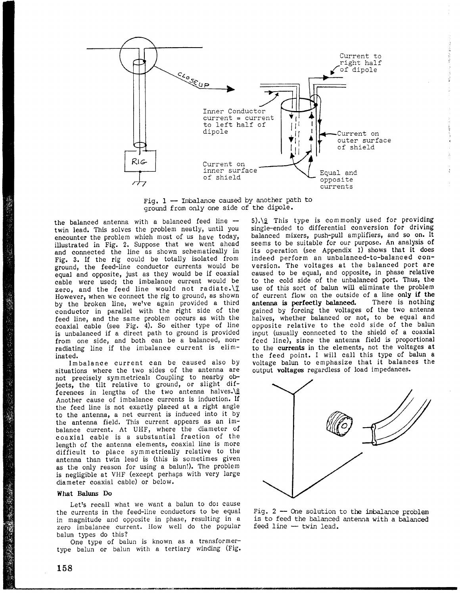

Fig.  $1 -$  Imbalance caused by another path to ground from only one side of the dipole.

the balanced antenna with a balanced feed line  $$ twin lead. This solves the problem neatly, until you encounter the problem which most of us have today, illustrated in Fig. 2. Suppose that we went ahead and connected the line as shown schematically in Fig. 3. If the rig could be totally isolated from ground, the feed-line conductor currents would be equal and opposite, just as they would be if coaxial cable were used; the imbalance current would be zero, and the feed line would not radiate.\7 However, when we connect the rig to ground, as shown by the broken line, wetve again provided a third conductor in parallel with the right side of the feed line, and the same problem occurs as with the coaxial cable (see Fig. 4). So either type of line is unbalanced if a direct path to ground is provided from one side, and both can be a balanced, nonradiating line if the imbalance current is eliminated.

Imbalance current can be caused also by situations where the two sides of the antenna are not precisely symmetrical: Coupling to nearby objects, the tilt relative to ground, or slight differences in lengths of the two antenna halves. $\sqrt{8}$ Another cause of imbalance currents is induction. lf the feed line is not exactly placed at a right angle to the antenna, a net current is induced into it by the antenna fieid. This current appears as an imbalance current. At UHF, where the diameter of c oaxial cable is a substantial fraction of the length of the antenna elements, coaxial line is more difficult to place symmetrically relative to the antenna than twin lead is (this is sometimes given as the only reason for using a balun!). The problem is negligible at VHF (except perhaps with very Iarge diameter coaxial cable) or below.

## What Baluns Do

Let's recall what we want a balun to do: cause the currents in the feed-Iine conductors to be equal in magnitude and opposite in phase, resulting in a zero imbalance current. IIow well do the popular balun types do this?

One type of balun is known as a transformertype balun or balun with a tertiary winding (Fig. 5).\g This type is commonly used for providing single-ended to differential conversion for driving balanced mixers, push-pull amplifiers, and so on. It seems to be suitable for our purpose. An analysis of its operation (see Appendix 1) shows that it does indeed perform an unbalanced-to-balanced conversion. The voltages at the balanced port are caused to be equal, and opposite, in phase relative to the cold side of the unbalanced port. Thus, the use of this sort of balun will eliminate the problem of current flow on the outside of a line only if the antenna is perfectly balanced. There is nothing antenna is perfectly balanced. gained by forcing the voltages of the two antenna halves, whether balanced or not, to be egual and opposite relative to the cold side of the balun input (usually connected to the shield of a coaxial feed line), since the antenna field is proportional to the currents in the elements, not the voltages at the feed point. I will call this type of balun a voltage balun to emphasize that it balances the output voltages regardless of load impedances.

12/10/12/12



Fig. 2 - One solution to the imbalance problem is to feed the balanced antenna with a balanced  $feed$  line  $-$  twin lead.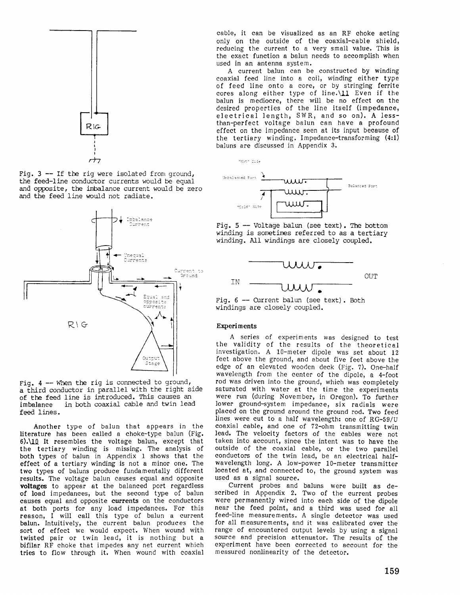

Fig.  $3$  -- If the rig were isolated from ground, the feed-line conductor currents would be equal and opposite, the jnbalance current would be zero and the feed line would not radiate.



Fig.  $4$  -- When the rig is connected to ground, a third conductor in parallel with the right side of the feed line is introduced. This causes an imbalance in both coaxial cable and twin lead in both coaxial cable and twin lead feed lines.

Another type of balun that appears in the literature has been called a choke-type balun (Fig.  $6) \cdot 10$  It resembles the voltage balun, except that the tertiary winding is missing. The analysis of both types of balun in Appendix 1 shows that the effect of a tertiary winding is not a minor one. The two types of baluns produce fundamentally different results. The voltage balun causes equal and opposite voltages to appear at the balanced port regardless of load impedanees, but the second type of balun eauses equal and opposite currents on the conductors at both ports for any load impedanees. For this reason, I will call this type of balun a curent balun. Intuitively, the current balun produces the sort of effeet we would expect. When wound with twisted pair or twin lead, it is nothing but & bifilar RF choke that impedes any net eurrent which tries to flow through it. When wound with coaxial cable, it ean be visualized as an RF choke aeting only on the outside of the coaxial-eable shield, reducing the current to a very small value. This is the exact function a balun needs to aecomplish when used in an antenna system.

A current balun can be constructed by winding coaxial feed line into a coil, winding either type of feed line onto a core, or by stringing ferrite cores along either type of line. $\setminus$ 11 Even if the balun is mediocre, there will be no effect on the desired properties of the line itself (impedance, eleetrical length, SIVR, and so on). A lessthan-perfect voltage balun ean have a profound effect on the impedance seen at its input beeause of the tertiary winding. Impedance-transforming (4:1) baluns are discussed in Appendix 3.



Fig.  $5$  -- Voltage balun (see text). The bottom winding is sometimes referred to as a tertiary winding. All windings are closely coupled.





# **Experiments**

"Hot" Side

A series of experiments was designed to test the validity of the results of the theoretical investigation. A 10-meter dipole was set about 12 feet above the ground, and about five feet above the edge of an elevated wooden deck (Fig. ?). One-half wavelength from the eenter of the dipole, a 4-foot rod was driven into the ground, whieh was eompletely saturated with water at the time the experiments were run (during November, in Oregon). To further lower ground-system impedance, six radials were placed on the ground around the ground rod. Two feed lines were eut to a half wavelength: one of RG-S9/U coaxial eable, and one of 72-ohm transmitting twin lead. The velocity factors of the eables were not taken into aceount, since the intent was to have the outside of the coaxial cable, or the two parallel conductors of the twin lead, be an electrical halfwavelength long. A low-power 10-meter transmitter loeated at, and conneeted to, the ground system was used as a signal souree.

Current probes and baluns were built as deseribed in Appendix 2. Two of the eurrent probes were permanently wired into each side of the dipole near the feed point, and a third was used for all feed-line measurements. A single detector was used for all measurements, and it was calibrated over the range of encountered output Ievels by using a signal source and precision attenuator. The results of the experiment have been corrected to aeeount for the measured nonlinearity of the deteetor.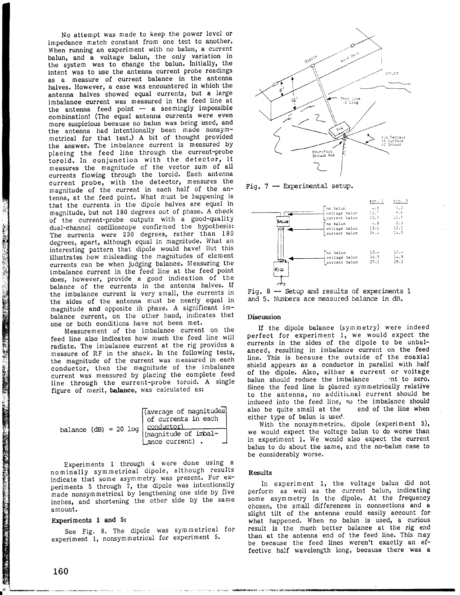No attempt was made to keep the power level or impedance match constant from one test to another. When running an experiment with no balun, a current balun, and a voltage balun, the only variation in the system was to change the balun. Initially, the intent was to use the antenna current probe readings as a measure of current balance in the antenna halves. However, a case was encountered in which the antenna halves showed equal currents, but a large imbalance current was measured in the feed line at the antenna feed point  $-$  a seemingly impossible combination! (Tne equal antenna currents were even more suspicious because no balun was being used, and the antenna had intentionally been made nonsymmetrical for that test.) A bit of thought provided the answer. The imbalance current is measured by placing the feed Iine through the current-probe toroid. In conjunction with the detector, it measures the magnitude of the vector sum of all currents flowing through the toroid. Each antenna current probe, with the deteetor, measures tbe magnitude of the current in each half of the antenna, at the feed point. What must be happening is that the currents in the dipole halves are equal in magnitude, but not 180 degrees out of phase. A check of the current-probe outputs with a good-quality dual-channel oscilloscope confirmed the hypothesis: The currents were 230 degrees, rather than 180 degrees, apart, although equal in magnitude. What an interesting pettern that dipole would have! But this illustrates how misleading the magnitudes of element currents can be when judging balance. Measuring the imbalance current in the feed line at the feed point does, however, provide a good indication of the balance of the currents in the antenna halves. If the imbalance current is very small, the currents in the sides of the antenna must be nearly equal in magnitude and opposite ih phase. A significant imbalance current, on the other hand, indicates that one or both conditions have not been met.

Measurement of the imbalance current on the feed line also indicates how much the feed line will radiate. The imbalance current at the rig provides a measure of RF in the shack. In the following tests, the magnitude of the current was measured in each conducior, then the magnitude of the imbalance current was neasured by placing the complete feed line through the current-probe toroid. A single figure of merit, balance, was calculated as:

| balance $(dB) = 20 log \begin{bmatrix} (average of magnitudes) & f currents in each \\ 100 & 100 \\ (magnitude of imbal -) the \\ (megnitude of imbal -) the \\ (magnetic current) . \end{bmatrix}$ |
|-----------------------------------------------------------------------------------------------------------------------------------------------------------------------------------------------------|
|-----------------------------------------------------------------------------------------------------------------------------------------------------------------------------------------------------|

Experiments 1 through 4 were done using a nominally symmetrical dipole, although results indicate that some asymmetry was present. For experiments 5 through 7, the dipole was intentionally made nonsymmetrical by lengthening one side by five inches, and shortening the other side by the same amount.

# Experiments 1 and 5:

See Fig. 8. The dipole was symmetrical for experiment 1, nonsymmetrical for experiment 5.



Fig.  $7$  - Experimental setup.



Fig.  $8$  -- Setup and results of experiments  $1$ and 5. Numbers are measured balance in dB.

#### Discussion

If the dipole balance (sYm metry) were indeed perfect for experiment 1, we would expect the curents in the sides of the dipole to be unbalanced, resulting in imbalance current on the feed line. This is because the outside of the eoaxial shield appears as a conductor in parallel with half of the dipole. Also, either a current or voltage balun should reduce the imbalance and to zero. balun should reduce the imbalance Since the feed Iine is placed symmetrically relative to the antenna, no additional current should be induced into the feed line, so the imbalance should also be quite small at the either type of balun is used.

With the nonsymmetrica. dipole (experiment 5), we would expect the voltage balun to do worse than in experiment 1. We would also expect the current balun to do about the same, and the no-balun case to be considerably worse.

#### Results

In experiment 1, the voltage balun did not perform as well as the current balun, indicating some asym metry in the dipole. At the frequency chosen, the small differences in connections and a slight tilt of the antenna could easily account for what happened. When no balun is used, a curious result is the much better balance at the rig end than at the antenna end of the feed line. This may be because the feed lines weren't exactly an effective half wavelength long, because there was a

 $\mathcal{L}_{\text{1}}$ 

 $\frac{1}{\sqrt{2}}$ 

.\_ i il  $\ddot{t}$ 

H

hdwal in a ffile and the control of the control of the control of the control of the control of the control of

ffi F'i fi1

 $\ddot{\phantom{a}}$ 

ffi

t;. I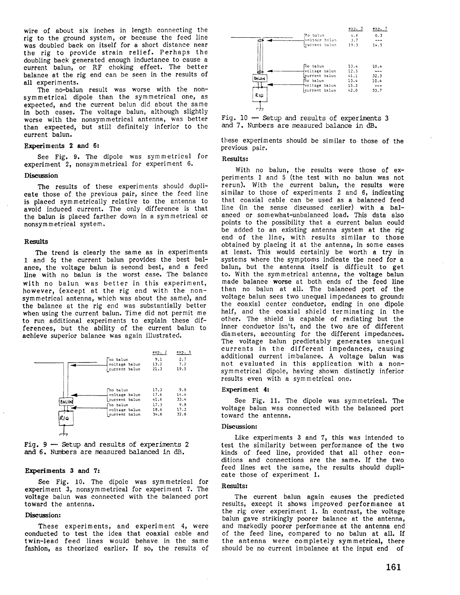wire of about six inches in length connecting the rig to the ground system, or because the feed line was doubled baek on itself for a short distance near the rig to provide strain relief. Perhaps the doubling baek generated enough induetance to cause a eurrent balun, or RF choking effect. The better balance at the rig end can be seen in the results of all experiments.

The no-balun result was worse with the nonsymmetrical dipole than the symmetrical one, as expected, and the current balun did about the same in both cases. The voltage balun, although slightly worse with the nonsymmetrical antenna, was better than expected, but still definitely inferior to the current balun.

# Experiments 2 and 6:

See Fig. 9. The dipole was symmetrical fon experiment 2, nonsymmetrieal for experiment 6.

#### Discussion

The results of these experiments should duplicate those of the previous pair, sinee the feed line is placed symmetricaily relative to the antenna to avoid indueed current. The only difference is that the balun is placed farther down in a symmetrical or nonsymmetrical system.

#### Results

The trend is clearly the same as in experiments 1 and 5; the current balun provides the best balance, the voltage balun is seeond best, and a feed line with no balun is the worst case. The balance with no balun was better in this experiment, however, (except at the rig end with the nonsymmetrical antenna, whieh was about the same), and the balanee at the rig end was substantially better when using the current balun. Time did not permit me to run additional experiments to explain these differences, but the ability of the current balun to achieve superior balance was again illustrated.



Fig.  $9$  - Setup and results of experiments 2 and 5. Nunbers are measured baLanced in dB.

#### Experiments 3 and 7:

See Fig. 10. The dipole was symmetrieal for experiment 3, nonsymmetrieal for experiment 7. The voltage balun was connected with the balanced port toward the antenna.

# Discussion:

These experiments, and experiment 4, were eonducted to test the idea that coaxial cable and twin-lead feed lines would behave in the same fashion, as theorized earlier. If so, the results of

|              | Ho balun<br>voltage balun.<br>current balun                                              | exp.3<br>4.8<br>3.7<br>19.3                  | exp.7<br>0.3<br>14.5         |
|--------------|------------------------------------------------------------------------------------------|----------------------------------------------|------------------------------|
| BALUN<br>RIG | no balun<br>voltage balun<br>current balun<br>no baiun<br>voltage balun<br>current balun | 13.4<br>12.5<br>41.1<br>13.4<br>15.3<br>42.0 | 10.4<br>32.3<br>10.4<br>33.7 |

Fig.  $10$  - Setup and results of experiments 3 and 7. Nmrbers are neasured balance in dB.

these experiments should be similar to those of the previous pair.

#### Results:

With no balun, the results were those of experiments 1 and 5 (the test with no balun was not rerun). With the current balun, the results were similar to those of experiments 2 and 6, indieating that coaxial cable can be used as a balanced feed line (in the sense diseussed earlier) with a balanced or somewhat-unbalanced load. This data also points to the possibility that a eurrent balun could be added to an existing antenna system at the rig end of the line, with results similar to those obtained by placing it at the antenna, in some cases at least. This would certainly be worth a try in systems where the symptoms indicate the need for a balun, but the antenna itself is diffieult to get to. With the symmetrieal antenna, the voltage balun made balance worse at both ends of the feed line than no balun at all. The balanced port of the voltage balun sees two unequal impedances to ground: the eoaxial center conduetor, ending in one dipole half, and the eoaxial shield terminating in the other. The shield is eapabie of radiating but the inner conductor isn't, and the two are of different diameters, aceounting for the different impedanees. The voltage balun predictably generates unequal currents in the different impedances, eausing additional current imbalanee. A voltage balun was not evaluated in this applieation with a nonsymmetrical dipole, having shown distinctly inferior results even with a svmmetrical one.

## Experiment 4:

See Fig. 11. The dipole was sym metrieal. The voltage balun was conneeted with the balaneed port toward the antenna.

#### Discussion:

Like experiments 3 and 7, this was intended to test the similarity between performance of the two kinds of feed line, provided that all other conditions and connections are the same. If the two feed lines aet the same, the results should duplicate those of experiment 1.

# Results:

The current balun again causes the predicted results, except it shows improved performance at the rig over experiment 1. In eontrast, the voltage balun gave strikingly poorer balance at the antenna, and markedly poorer performanee at the antenna end of the feed line, eompared to no balun at all. If the antenna were eompletely sym metrical, there should be no current imbalance at the input end of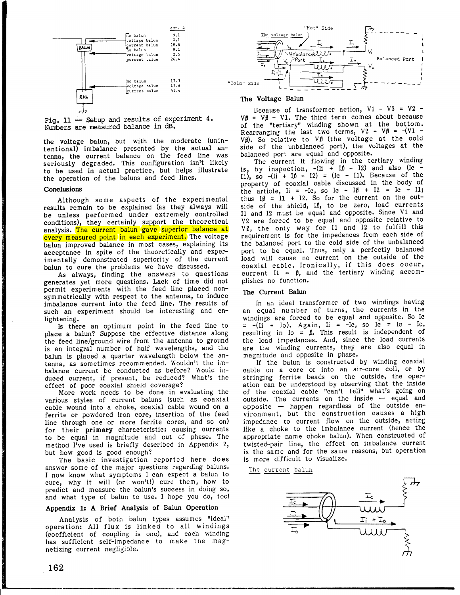

Fig.  $11$  - Setup and results of experiment 4. Numbers are measured balance in dB

the voltage balun, but with the moderate (unintentional) imbalance presented by the actual antenna, the current balance on the feed line was seriously degraded. This configuration isn't likely to be used in actual practice, but helps illustrate the operation of the baluns and feed lines.

#### **Conclusions**

Although some aspects of the experimental results remain to be explained (as they always will be unless performed under extremely controlled conditions), they certainly support the theoretical analysis. The current balun gave superior balance at every measured point in each experiment. The voltage balun improved balance in most cases, explaining its acceptance in spite of the theoretieally and experimentally demonstrated superiority of the current balun to cure the problems we have discussed.

As always, finding the answers to questions generates yet more questions. Lack of time did not permit experiments with the feed line placed nonsymmetrically with respect to the antenna, to induce imbalance current into the feed line. The results of such an experiment should be interesting and en-Iightening.

Is there an optimum point in the feed line to place a balun? Suppose the effective distance along the feed line/ground wire from the antenna to ground is an integral number of half wavelengths, and the balun is placed a quarter wavelength below the antenna, as sometimes recommended. Wouldn't the imbalance current be conducted as before? Would induced current, if present, be reduced? What's the effect of poor coaxial shield coverage?

More work needs to be done in evaluating the various styles of current baluns (such as coaxial cable wound into a choke, coaxial cable wound on a ferrite or powdered iron core, insertion of the feed line through one or more ferrite cores, and so on) for their primary characteristic: causing currents to be equal in magnitude and out of phase. The method I've used is briefly described in Appendix 2, but how good is good enough?

The basic investigation reported here does answer some of the major questions regarding baluns. I now know what symptoms I can expect a balun to cure, why it will (or wontt!) cure them, how to predict and measure the balun's success in doing so, and what type of balun to use. I hope you do, too!

#### Appendix 1: A Brief Analysis of Balun Operation

Analysis of both balun types assumes "ideal" operation: All flux is linked to all windings (coefficient of coupling is one), and each winding has sufficient self-impedance to make the magnetizing current negligible.



## The Yoltage Balun

Because of transformer action,  $V1 - V3 = V2 \nabla \phi = \nabla \phi - \nabla 1$ . The third term comes about because of the "tertiary" winding shown at the bottom. Rearranging the last two terms,  $V2 - V\beta = -(V1 V\emptyset$ . So relative to  $V\emptyset$  (the voltage at the cold side of the unbalanced port), the voltages at the balanced port are equal and opposite.

The current It flowing in the tertiary winding is, by inspection,  $-(\text{li } + \text{li } - \text{li})$  and also (Ie I1), so  $-(\text{li} + \text{lh} - \text{I2}) = (\text{lc} - \text{I1})$ . Because of the property of coaxial cable discussed in the body of the article,  $\text{li} = -\text{lc}$ , so  $\text{lc} - \text{lh} + \text{l2} = \text{lc} - \text{ll};$ thus  $I\emptyset = I1 + I2$ . So for the current on the outside of the shield, ID, to be zero, load currents I1 and 12 must be equal and opposite. Since Vl and V2 are forced to be equal and opposite relative to  $V\emptyset$ , the only way for I1 and I2 to fulfill this requirement is for the impedances from each side of the balanced port to the cold side of the unbalanced port to be equal. Thus, only a perfectly balanced load will cause no current on the outside of the coaxial cable. Ironically, if this does occur, current It =  $\beta$ , and the tertiary winding accomplishes no function.

## The Current Balun

ln an ideal transformer of two windings having an equal number of turns, the currents in the windings are forced to be equal and opposite. So Ic  $= -(\overline{I_1} + I_0)$ . Again,  $I_1 = -I_0$ , so  $I_0 = I_0 - I_0$ , resulting in Io =  $\beta$ . This result is independent of the load impedances. And, since the load currents are the winding currents, they are also equal in magnitude and opposite in phase.

If the balun is constructed by winding coaxial cable on a core or into an air-core coil, or by stringing ferrite beads on the outside, the operation can be understood by observing that the inside of the coaxial cable "can't tell" what's going on outside. The currents on the inside  $-$  equal and opposite happen regardless of the outside environment, but the construction eauses a high impedance to current flow on the outside, acting like a choke to the imbalance current (hence the appropriate name choke balun). When constructed of twisted-pair line, the effect on imbalance current is the same and for the same reasons, but operation is more difficult to visualize.

The current balun

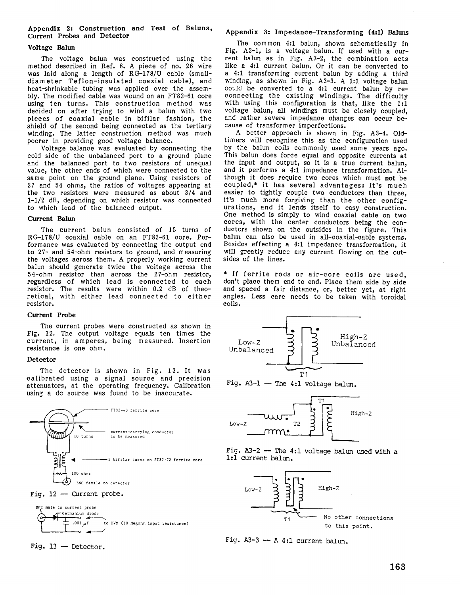# Appendix 2: Construction and Test of Baluns, Curent Probes and Deteetor

# Yoltage Belun

The voltage balun was constructed using the method deseribed in Ref.8. A piece of no.26 wire was laid along a length of RG-178/U cable (smal] diameter Teflon-insulated eoaxial cable), and heat-shrinkable tubing was applied over the assembly. The modified cable was wound on an FT82-61 core using ten turns. This construetion method was decided on after trying to wind a balun with two pieces of coaxial cable in bifilar fashion, the shield of the seeond being connected as the tertiary winding. The latter construction method was much poorer in providing good voltage balanee.

Voltage balance was evaluated by eonnecting the cold side of the unbalanced port to a ground plane and the balanced port to two resistors of unequal value, the other ends of whieh were connected to the same point on the ground plane. Using resistors of 27 and 54 ohms, the ratios of voltages appearing at the two resistors were measured as about 3/4 and L-1/2 dB, depending on which resistor was connected to which lead of the balanced output.

#### Current Balun

The current balun consisted of 15 turns of RG-1?8/U coaxial eable on an FT82-61 core. Performanee was evaluated by connecting the output end to 27- and 54-ohm resistors to ground, and measuring the voltages across them. A properly working current balun should generate twice the voitage aeross the 54-ohm resistor than aeross the 2?-ohm resistor, regardless of whieh lead is eonneeted to eaeh resistor. The results were within 0.2 dB of theoretical, with either lead connected to either resistor.

#### Current Probe

The current probes were constructed as shown in Fig.12. The output voltage equals ten times the current, in amperes, being measured. Insertion resistance is one ohm.

## Deteetor

The detector is shown in Fig. 13. It was ealibrated using a signal source and precision attenuators, at the operating frequency. Calibration using a dc source was found to be inaceurate.





BNC male to current probe -Germanium diode  $\mathfrak{r}$ .001  $\mu$ F ro DVM (10 Megohm input resistance)



# Appendix 3: Impedanee-Transforming (4:1) Baluns

The common 4:1 balun, shown sehematically in Fig.  $A3-1$ , is a voltage balun. If used with a current balun as in Fig. A3-2, the combination acts like a 4:1 current balun. Or it can be converted to a 4:1 transforming eurrent balun by adding a third winding, as shown in Fig. A3-3. A 1:1 voltage balun could be eonverted to a 4:1 current balun by reeonnecting the existing windings. The difficulty with using this eonfiguration is that, Iike the 1:l voltage balun, all windings must be elosely coupled, and rather severe impedance changes ean occur because of transformer imperfections.

A better approaeh is shown in Fig. A3-4. Oldtimers will recognize this as the eonfiguration used by the balun eoils commonly used some years ago. This balun does force equal and opposite currents at the input and output, so it is a true current balun, and it performs a 4:1 impedanee transformation. Although it does require two cores whieh must not be coupled,\* it has several advantages: It's much easier to tightly couple two eonductors than three, it's much more forgiving than the other configurations, and it lends itself to easy construetion. One method is simply to wind eoaxial eable on two cores, with the center conductors being the conduetors shown on the outsides in the figure. This balun can also be used in all-eoaxial-cable systems. Besides effecting a 4:1 impedanee transformation, it will greatly reduce any current flowing on the outsides of the lines.

\* If ferrite rods or air-core coils are used, don't place them end to end. Place them side by side and spaced a fair distance, or, better yet, at right angles. Less eare needs to be taken with toroidal eoils.



Fig.  $A3-1$  - The 4:1 voltage balun.







Fig.  $A3-3 - A 4:1$  current balun.